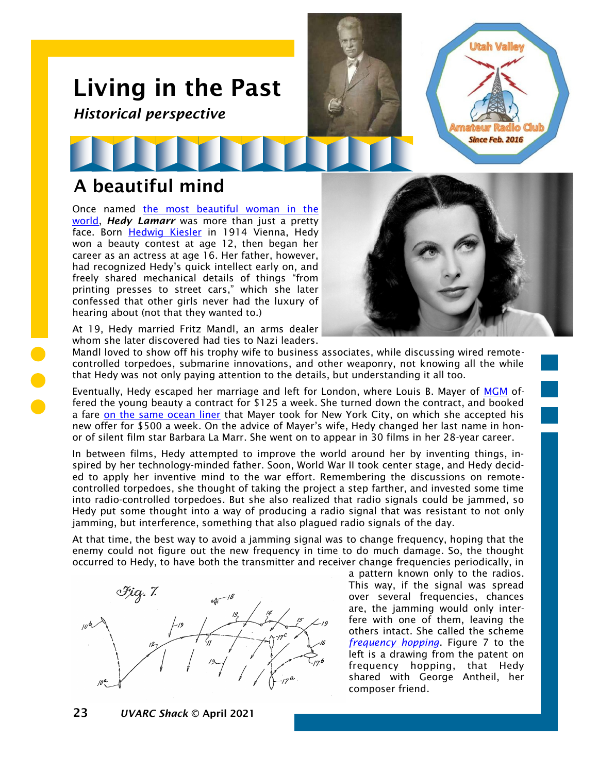## Living in the Past *Historical perspective*

## A beautiful mind

Once named the most beautiful woman in the [world,](https://www.newsweek.com/only-woman-room-marie-benedict-hedy-lamarr-books-1285093) *Hedy Lamarr* was more than just a pretty face. Born [Hedwig Kiesler](https://en.wikipedia.org/wiki/Hedy_Lamarr) in 1914 Vienna, Hedy won a beauty contest at age 12, then began her career as an actress at age 16. Her father, however, had recognized Hedy's quick intellect early on, and freely shared mechanical details of things "from printing presses to street cars," which she later confessed that other girls never had the luxury of hearing about (not that they wanted to.)



Utah Valle

**Since Feb. 2016** 

At 19, Hedy married Fritz Mandl, an arms dealer whom she later discovered had ties to Nazi leaders.

Mandl loved to show off his trophy wife to business associates, while discussing wired remotecontrolled torpedoes, submarine innovations, and other weaponry, not knowing all the while that Hedy was not only paying attention to the details, but understanding it all too.

Eventually, Hedy escaped her marriage and left for London, where Louis B. Mayer of [MGM](https://en.wikipedia.org/wiki/Metro-Goldwyn-Mayer) offered the young beauty a contract for \$125 a week. She turned down the contract, and booked a fare [on the same ocean liner](https://www.forbes.com/sites/shivaunefield/2018/02/28/hedy-lamarr-the-incredible-mind-behind-secure-wi-fi-gps-bluetooth/?sh=68eb447041b7) that Mayer took for New York City, on which she accepted his new offer for \$500 a week. On the advice of Mayer's wife, Hedy changed her last name in honor of silent film star Barbara La Marr. She went on to appear in 30 films in her 28-year career.

In between films, Hedy attempted to improve the world around her by inventing things, inspired by her technology-minded father. Soon, World War II took center stage, and Hedy decided to apply her inventive mind to the war effort. Remembering the discussions on remotecontrolled torpedoes, she thought of taking the project a step farther, and invested some time into radio-controlled torpedoes. But she also realized that radio signals could be jammed, so Hedy put some thought into a way of producing a radio signal that was resistant to not only jamming, but interference, something that also plagued radio signals of the day.

At that time, the best way to avoid a jamming signal was to change frequency, hoping that the enemy could not figure out the new frequency in time to do much damage. So, the thought occurred to Hedy, to have both the transmitter and receiver change frequencies periodically, in



a pattern known only to the radios. This way, if the signal was spread over several frequencies, chances are, the jamming would only interfere with one of them, leaving the others intact. She called the scheme *[frequency hopping](https://www.smithsonianmag.com/smithsonian-institution/thank-world-war-ii-era-film-star-your-wi-fi-180971584/)*. Figure 7 to the left is a drawing from the patent on frequency hopping, that Hedy shared with George Antheil, her composer friend.